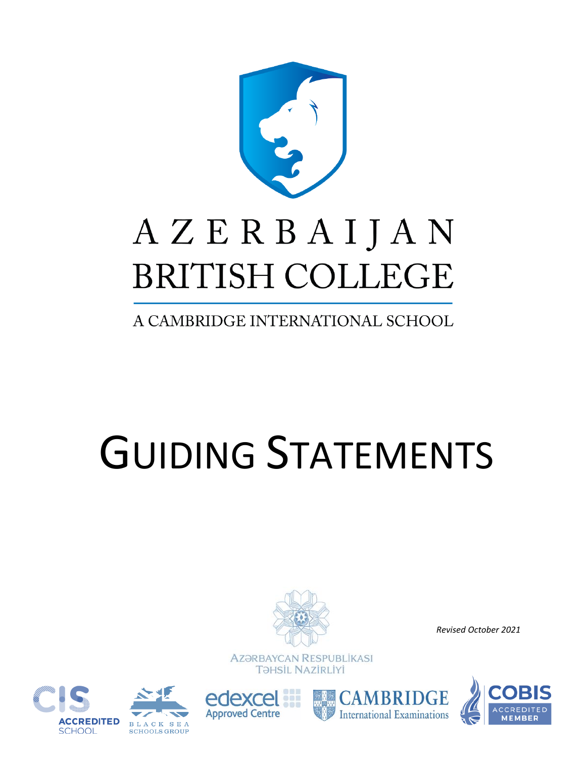

## AZERBAIJAN **BRITISH COLLEGE**

A CAMBRIDGE INTERNATIONAL SCHOOL

# GUIDING STATEMENTS



*Revised October 2021*











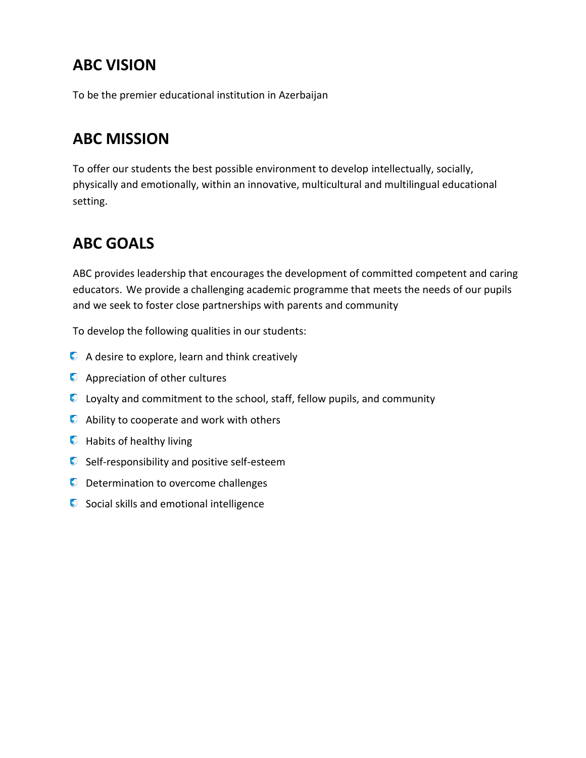## **ABC VISION**

To be the premier educational institution in Azerbaijan

## **ABC MISSION**

To offer our students the best possible environment to develop intellectually, socially, physically and emotionally, within an innovative, multicultural and multilingual educational setting.

## **ABC GOALS**

ABC provides leadership that encourages the development of committed competent and caring educators. We provide a challenging academic programme that meets the needs of our pupils and we seek to foster close partnerships with parents and community

To develop the following qualities in our students:

- $\bullet$  A desire to explore, learn and think creatively
- **Appreciation of other cultures**
- $\bigcirc$  Loyalty and commitment to the school, staff, fellow pupils, and community
- $\bigcirc$  Ability to cooperate and work with others
- $\bigcirc$  Habits of healthy living
- $\bullet$  Self-responsibility and positive self-esteem
- Determination to overcome challenges
- $\bullet$  Social skills and emotional intelligence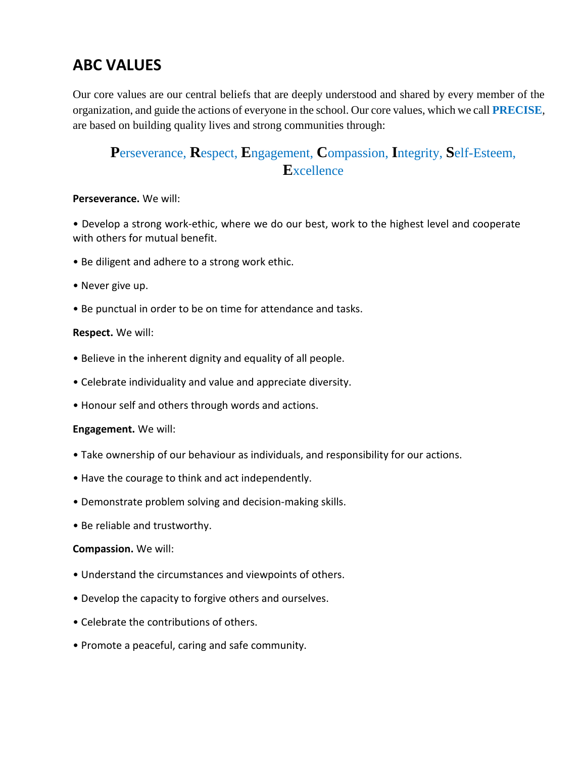## **ABC VALUES**

Our core values are our central beliefs that are deeply understood and shared by every member of the organization, and guide the actions of everyone in the school. Our core values, which we call **PRECISE**, are based on building quality lives and strong communities through:

## **P**erseverance, **R**espect, **E**ngagement, **C**ompassion, **I**ntegrity, **S**elf-Esteem, **E**xcellence

## **Perseverance.** We will:

• Develop a strong work-ethic, where we do our best, work to the highest level and cooperate with others for mutual benefit.

- Be diligent and adhere to a strong work ethic.
- Never give up.
- Be punctual in order to be on time for attendance and tasks.

## **Respect.** We will:

- Believe in the inherent dignity and equality of all people.
- Celebrate individuality and value and appreciate diversity.
- Honour self and others through words and actions.

## **Engagement.** We will:

- Take ownership of our behaviour as individuals, and responsibility for our actions.
- Have the courage to think and act independently.
- Demonstrate problem solving and decision-making skills.
- Be reliable and trustworthy.

## **Compassion.** We will:

- Understand the circumstances and viewpoints of others.
- Develop the capacity to forgive others and ourselves.
- Celebrate the contributions of others.
- Promote a peaceful, caring and safe community.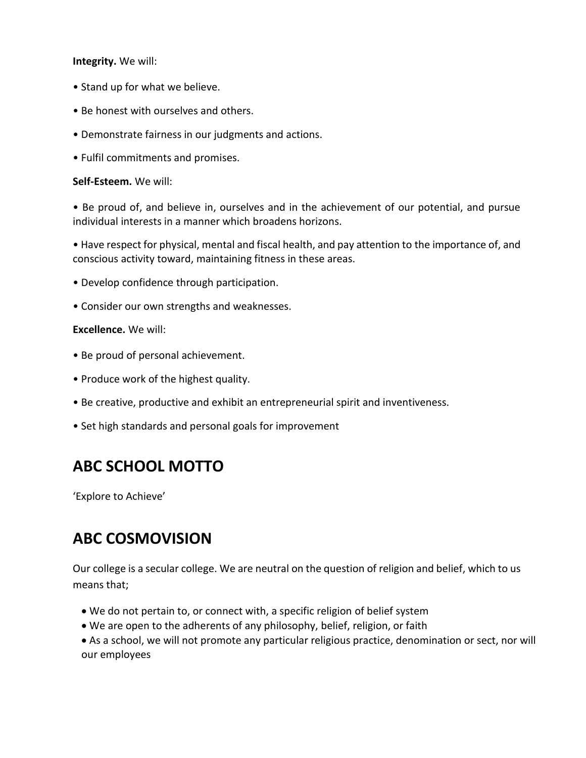## **Integrity.** We will:

- Stand up for what we believe.
- Be honest with ourselves and others.
- Demonstrate fairness in our judgments and actions.
- Fulfil commitments and promises.

## **Self-Esteem.** We will:

• Be proud of, and believe in, ourselves and in the achievement of our potential, and pursue individual interests in a manner which broadens horizons.

• Have respect for physical, mental and fiscal health, and pay attention to the importance of, and conscious activity toward, maintaining fitness in these areas.

- Develop confidence through participation.
- Consider our own strengths and weaknesses.

## **Excellence.** We will:

- Be proud of personal achievement.
- Produce work of the highest quality.
- Be creative, productive and exhibit an entrepreneurial spirit and inventiveness.
- Set high standards and personal goals for improvement

## **ABC SCHOOL MOTTO**

'Explore to Achieve'

## **ABC COSMOVISION**

Our college is a secular college. We are neutral on the question of religion and belief, which to us means that;

- We do not pertain to, or connect with, a specific religion of belief system
- We are open to the adherents of any philosophy, belief, religion, or faith
- As a school, we will not promote any particular religious practice, denomination or sect, nor will our employees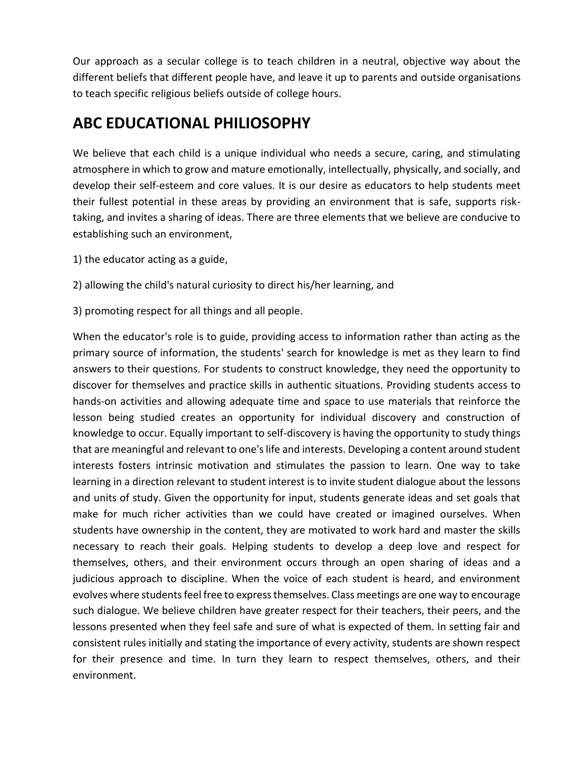Our approach as a secular college is to teach children in a neutral, objective way about the different beliefs that different people have, and leave it up to parents and outside organisations to teach specific religious beliefs outside of college hours.

## **ABC EDUCATIONAL PHILIOSOPHY**

We believe that each child is a unique individual who needs a secure, caring, and stimulating atmosphere in which to grow and mature emotionally, intellectually, physically, and socially, and develop their self-esteem and core values. It is our desire as educators to help students meet their fullest potential in these areas by providing an environment that is safe, supports risktaking, and invites a sharing of ideas. There are three elements that we believe are conducive to establishing such an environment,

- 1) the educator acting as a guide,
- 2) allowing the child's natural curiosity to direct his/her learning, and
- 3) promoting respect for all things and all people.

When the educator's role is to guide, providing access to information rather than acting as the primary source of information, the students' search for knowledge is met as they learn to find answers to their questions. For students to construct knowledge, they need the opportunity to discover for themselves and practice skills in authentic situations. Providing students access to hands-on activities and allowing adequate time and space to use materials that reinforce the lesson being studied creates an opportunity for individual discovery and construction of knowledge to occur. Equally important to self-discovery is having the opportunity to study things that are meaningful and relevant to one's life and interests. Developing a content around student interests fosters intrinsic motivation and stimulates the passion to learn. One way to take learning in a direction relevant to student interest is to invite student dialogue about the lessons and units of study. Given the opportunity for input, students generate ideas and set goals that make for much richer activities than we could have created or imagined ourselves. When students have ownership in the content, they are motivated to work hard and master the skills necessary to reach their goals. Helping students to develop a deep love and respect for themselves, others, and their environment occurs through an open sharing of ideas and a judicious approach to discipline. When the voice of each student is heard, and environment evolves where students feel free to express themselves. Class meetings are one way to encourage such dialogue. We believe children have greater respect for their teachers, their peers, and the lessons presented when they feel safe and sure of what is expected of them. In setting fair and consistent rules initially and stating the importance of every activity, students are shown respect for their presence and time. In turn they learn to respect themselves, others, and their environment.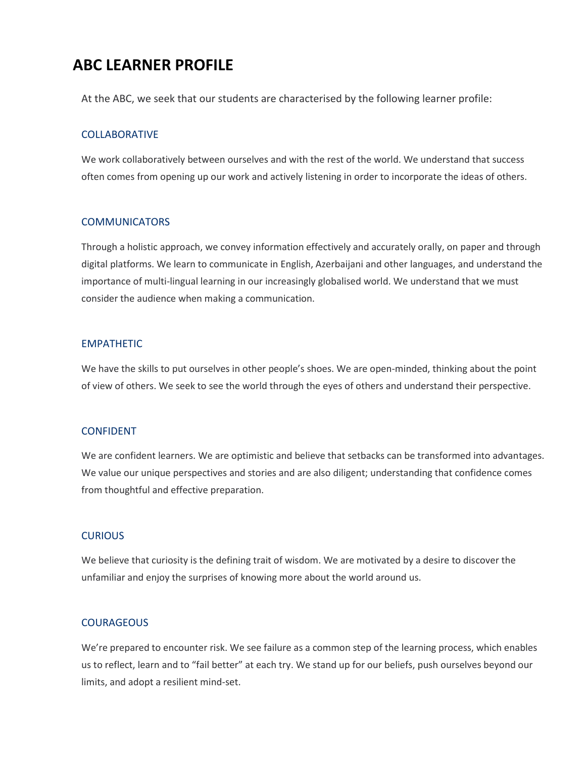## **ABC LEARNER PROFILE**

At the ABC, we seek that our students are characterised by the following learner profile:

### COLLABORATIVE

We work collaboratively between ourselves and with the rest of the world. We understand that success often comes from opening up our work and actively listening in order to incorporate the ideas of others.

## **COMMUNICATORS**

Through a holistic approach, we convey information effectively and accurately orally, on paper and through digital platforms. We learn to communicate in English, Azerbaijani and other languages, and understand the importance of multi-lingual learning in our increasingly globalised world. We understand that we must consider the audience when making a communication.

### EMPATHETIC

We have the skills to put ourselves in other people's shoes. We are open-minded, thinking about the point of view of others. We seek to see the world through the eyes of others and understand their perspective.

### CONFIDENT

We are confident learners. We are optimistic and believe that setbacks can be transformed into advantages. We value our unique perspectives and stories and are also diligent; understanding that confidence comes from thoughtful and effective preparation.

#### **CURIOUS**

We believe that curiosity is the defining trait of wisdom. We are motivated by a desire to discover the unfamiliar and enjoy the surprises of knowing more about the world around us.

### COURAGEOUS

We're prepared to encounter risk. We see failure as a common step of the learning process, which enables us to reflect, learn and to "fail better" at each try. We stand up for our beliefs, push ourselves beyond our limits, and adopt a resilient mind-set.